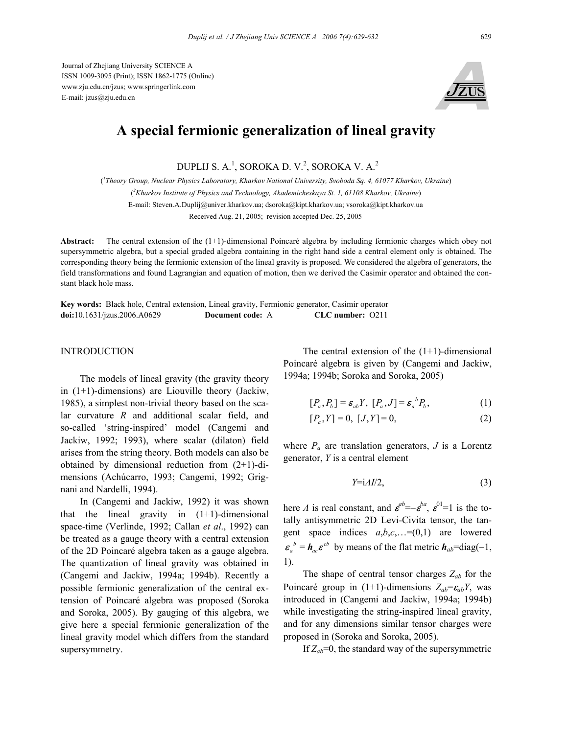Journal of Zhejiang University SCIENCE A ISSN 1009-3095 (Print); ISSN 1862-1775 (Online) www.zju.edu.cn/jzus; www.springerlink.com E-mail: jzus@zju.edu.cn



## **A special fermionic generalization of lineal gravity**

DUPLIJ S. A.<sup>1</sup>, SOROKA D. V.<sup>2</sup>, SOROKA V. A.<sup>2</sup>

( *1 Theory Group, Nuclear Physics Laboratory, Kharkov National University, Svoboda Sq. 4, 61077 Kharkov, Ukraine*) ( *2 Kharkov Institute of Physics and Technology, Akademicheskaya St. 1, 61108 Kharkov, Ukraine*)

E-mail: Steven.A.Duplij@univer.kharkov.ua; dsoroka@kipt.kharkov.ua; vsoroka@kipt.kharkov.ua

Received Aug. 21, 2005; revision accepted Dec. 25, 2005

**Abstract:** The central extension of the (1+1)-dimensional Poincaré algebra by including fermionic charges which obey not supersymmetric algebra, but a special graded algebra containing in the right hand side a central element only is obtained. The corresponding theory being the fermionic extension of the lineal gravity is proposed. We considered the algebra of generators, the field transformations and found Lagrangian and equation of motion, then we derived the Casimir operator and obtained the constant black hole mass.

**Key words:** Black hole, Central extension, Lineal gravity, Fermionic generator, Casimir operator **doi:**10.1631/jzus.2006.A0629 **Document code:** A **CLC number:** O211

## **INTRODUCTION**

The models of lineal gravity (the gravity theory in (1+1)-dimensions) are Liouville theory (Jackiw, 1985), a simplest non-trivial theory based on the scalar curvature *R* and additional scalar field, and so-called 'string-inspired' model (Cangemi and Jackiw, 1992; 1993), where scalar (dilaton) field arises from the string theory. Both models can also be obtained by dimensional reduction from (2+1)-dimensions (Achúcarro, 1993; Cangemi, 1992; Grignani and Nardelli, 1994).

In (Cangemi and Jackiw, 1992) it was shown that the lineal gravity in  $(1+1)$ -dimensional space-time (Verlinde, 1992; Callan *et al*., 1992) can be treated as a gauge theory with a central extension of the 2D Poincaré algebra taken as a gauge algebra. The quantization of lineal gravity was obtained in (Cangemi and Jackiw, 1994a; 1994b). Recently a possible fermionic generalization of the central extension of Poincaré algebra was proposed (Soroka and Soroka, 2005). By gauging of this algebra, we give here a special fermionic generalization of the lineal gravity model which differs from the standard supersymmetry.

The central extension of the  $(1+1)$ -dimensional Poincaré algebra is given by (Cangemi and Jackiw, 1994a; 1994b; Soroka and Soroka, 2005)

$$
[P_a, P_b] = \varepsilon_{ab} Y, [P_a, J] = \varepsilon_a^b P_b,
$$
 (1)

 $[P_a, Y] = 0$ ,  $[J, Y] = 0$ , (2)

where  $P_a$  are translation generators,  $J$  is a Lorentz generator, *Y* is a central element

$$
Y = i\Lambda I/2,\tag{3}
$$

here *Λ* is real constant, and  $\boldsymbol{\varepsilon}^{ab} = -\boldsymbol{\varepsilon}^{ba}$ ,  $\boldsymbol{\varepsilon}^{01} = 1$  is the totally antisymmetric 2D Levi-Civita tensor, the tangent space indices  $a,b,c,...=(0,1)$  are lowered  $\boldsymbol{\varepsilon}_a^b = \boldsymbol{h}_{ac} \boldsymbol{\varepsilon}^{cb}$  by means of the flat metric  $\boldsymbol{h}_{ab} = \text{diag}(-1,$ 1).

The shape of central tensor charges  $Z_{ab}$  for the Poincaré group in (1+1)-dimensions  $Z_{ab} = \epsilon_{ab} Y$ , was introduced in (Cangemi and Jackiw, 1994a; 1994b) while investigating the string-inspired lineal gravity, and for any dimensions similar tensor charges were proposed in (Soroka and Soroka, 2005).

If  $Z_{ab}$ =0, the standard way of the supersymmetric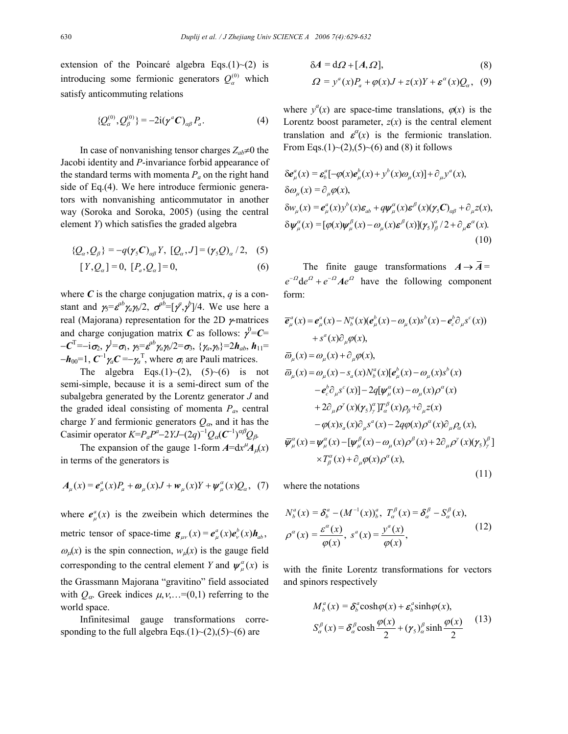extension of the Poincaré algebra Eqs.(1) $\sim$ (2) is introducing some fermionic generators  $Q_\alpha^{(0)}$  which satisfy anticommuting relations

$$
\{Q_{\alpha}^{(0)}, Q_{\beta}^{(0)}\} = -2i(\pmb{\gamma}^{a}\pmb{C})_{\alpha\beta}P_{a}.
$$
 (4)

In case of nonvanishing tensor charges  $Z_{ab} \neq 0$  the Jacobi identity and *P*-invariance forbid appearance of the standard terms with momenta  $P_a$  on the right hand side of Eq.(4). We here introduce fermionic generators with nonvanishing anticommutator in another way (Soroka and Soroka, 2005) (using the central element *Y*) which satisfies the graded algebra

$$
\{Q_{\alpha}, Q_{\beta}\} = -q(\gamma_{5}C)_{\alpha\beta}Y, [Q_{\alpha}, J] = (\gamma_{5}Q)_{\alpha}/2, (5)
$$

$$
[Y, Q_{\alpha}] = 0, [P_{\alpha}, Q_{\alpha}] = 0,
$$
\n(6)

where  $C$  is the charge conjugation matrix,  $q$  is a constant and  $\gamma_5 = \varepsilon^{ab} \gamma_a \gamma_b/2$ ,  $\sigma^{ab} = [\gamma^a, \gamma^b]/4$ . We use here a real (Majorana) representation for the 2D γ-matrices and charge conjugation matrix *C* as follows:  $\gamma^0 = C =$  $-c^{\text{T}} = -i\sigma_2$ ,  $\gamma^{\text{I}} = \sigma_1$ ,  $\gamma_5 = \varepsilon^{ab}\gamma_a\gamma_b/2 = \sigma_3$ ,  $\{\gamma_a,\gamma_b\} = 2h_{ab}$ ,  $h_{11} =$  $-\boldsymbol{h}_{00}$ =1,  $C^{-1}\gamma_a C = -\gamma_a^T$ , where  $\sigma_i$  are Pauli matrices.

The algebra Eqs.(1)~(2),  $(5)$ ~(6) is not semi-simple, because it is a semi-direct sum of the subalgebra generated by the Lorentz generator *J* and the graded ideal consisting of momenta *Pa*, central charge *Y* and fermionic generators  $Q_{\alpha}$ , and it has the Casimir operator  $K = P_a P^a - 2 Y J - (2q)^{-1} Q_\alpha (C^{-1})^{\alpha \beta} Q_\beta$ .

The expansion of the gauge 1-form  $A=dx^{\mu}A_{\mu}(x)$ in terms of the generators is

$$
A_{\mu}(x) = e_{\mu}^{a}(x)P_{a} + \omega_{\mu}(x)J + w_{\mu}(x)Y + \psi_{\mu}^{a}(x)Q_{a}, \quad (7)
$$

where  $e^a_{\mu}(x)$  is the zweibein which determines the metric tensor of space-time  $g_{\mu\nu}(x) = e^a_\mu(x) e^b_\nu(x) h_{ab}$ ,  $\omega_{\mu}(x)$  is the spin connection,  $w_{\mu}(x)$  is the gauge field corresponding to the central element *Y* and  $\psi_{\mu}^{\alpha}(x)$  is the Grassmann Majorana "gravitino" field associated with  $Q_{\alpha}$ . Greek indices  $\mu$ ,  $\nu$ ,...=(0,1) referring to the world space.

Infinitesimal gauge transformations corresponding to the full algebra Eqs.(1)~(2),(5)~(6) are

$$
\delta A = d\Omega + [A, \Omega],\tag{8}
$$

$$
\Omega = y^a(x)P_a + \varphi(x)J + z(x)Y + \boldsymbol{\varepsilon}^a(x)Q_a, \quad (9)
$$

where  $y^a(x)$  are space-time translations,  $\varphi(x)$  is the Lorentz boost parameter,  $z(x)$  is the central element translation and  $\epsilon^{\alpha}(x)$  is the fermionic translation. From Eqs.(1)~(2),(5)~(6) and (8) it follows

$$
\delta e^a_\mu(x) = \varepsilon^a_\rho [-\varphi(x)e^b_\mu(x) + y^b(x)\omega_\mu(x)] + \partial_\mu y^a(x),
$$
  
\n
$$
\delta \omega_\mu(x) = \partial_\mu \varphi(x),
$$
  
\n
$$
\delta w_\mu(x) = e^a_\mu(x)y^b(x)\varepsilon_{ab} + q\psi^\alpha_\mu(x)\varepsilon^\beta(x)(\gamma_s C)_{\alpha\beta} + \partial_\mu z(x),
$$
  
\n
$$
\delta \psi^\alpha_\mu(x) = [\varphi(x)\psi^\beta_\mu(x) - \omega_\mu(x)\varepsilon^\beta(x)](\gamma_s)^\alpha_\beta/2 + \partial_\mu \varepsilon^\alpha(x).
$$
\n(10)

The finite gauge transformations  $A \rightarrow \overline{A} =$  $e^{-\Omega}$ de<sup> $\Omega$ </sup> +  $e^{-\Omega}$  *Ae*<sup> $\Omega$ </sup> have the following component form:

$$
\overline{e}_{\mu}^{a}(x) = e_{\mu}^{a}(x) - N_{b}^{a}(x)(e_{\mu}^{b}(x) - \omega_{\mu}(x)s^{b}(x) - e_{c}^{b}\partial_{\mu}s^{c}(x))
$$
\n
$$
+ s^{a}(x)\partial_{\mu}\varphi(x),
$$
\n
$$
\overline{\omega}_{\mu}(x) = \omega_{\mu}(x) + \partial_{\mu}\varphi(x),
$$
\n
$$
\overline{\omega}_{\mu}(x) = \omega_{\mu}(x) - s_{a}(x)N_{b}^{a}(x)[e_{\mu}^{b}(x) - \omega_{\mu}(x)s^{b}(x) - e_{c}^{b}\partial_{\mu}s^{c}(x)] - 2q[\psi_{\mu}^{a}(x) - \omega_{\mu}(x)\rho^{a}(x) - 2q[\psi_{\mu}^{a}(x) - \omega_{\mu}(x)\rho^{a}(x) - 2q[\psi_{\mu}^{a}(x) - \omega_{\mu}(x)\rho^{a}(x) - 2q[\psi_{\mu}^{a}(x) - \omega_{\mu}(x)\partial_{\mu}\rho_{a}(x)] - \varphi(x)s_{a}(x)\partial_{\mu}s^{a}(x) - 2q\varphi(x)\rho^{a}(x)\partial_{\mu}\rho_{a}(x),
$$
\n
$$
\overline{\psi}_{\mu}^{a}(x) = \psi_{\mu}^{a}(x) - [\psi_{\mu}^{a}(x) - \omega_{\mu}(x)\rho^{b}(x) + 2\partial_{\mu}\rho^{y}(x)(\gamma_{5})_{\gamma}^{\beta}] \times T_{\beta}^{a}(x) + \partial_{\mu}\varphi(x)\rho^{a}(x), \qquad (11)
$$

where the notations

$$
N_b^a(x) = \delta_b^a - (M^{-1}(x))_b^a, T_a^\beta(x) = \delta_a^\beta - S_a^\beta(x),
$$
  

$$
\rho^\alpha(x) = \frac{\varepsilon^\alpha(x)}{\varphi(x)}, s^a(x) = \frac{y^a(x)}{\varphi(x)},
$$
(12)

with the finite Lorentz transformations for vectors and spinors respectively

$$
M_{b}^{a}(x) = \delta_{b}^{a} \cosh \varphi(x) + \varepsilon_{b}^{a} \sinh \varphi(x),
$$
  

$$
S_{a}^{\beta}(x) = \delta_{a}^{\beta} \cosh \frac{\varphi(x)}{2} + (\gamma_{5})_{a}^{\beta} \sinh \frac{\varphi(x)}{2}
$$
 (13)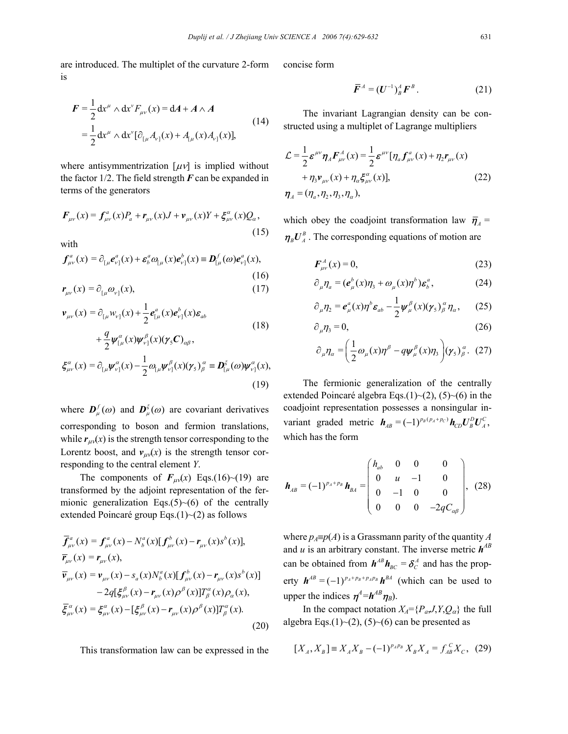are introduced. The multiplet of the curvature 2-form is

$$
F = \frac{1}{2} dx^{\mu} \wedge dx^{\nu} F_{\mu\nu}(x) = dA + A \wedge A
$$
  
=  $\frac{1}{2} dx^{\mu} \wedge dx^{\nu} [\partial_{[\mu} A_{\nu]}(x) + A_{[\mu]}(x) A_{\nu]}(x)],$  (14)

where antisymmentrization  $[\mu\nu]$  is implied without the factor  $1/2$ . The field strength  $\bm{F}$  can be expanded in terms of the generators

$$
\mathbf{F}_{\mu\nu}(x) = \mathbf{f}_{\mu\nu}^a(x)P_a + \mathbf{r}_{\mu\nu}(x)J + \mathbf{v}_{\mu\nu}(x)Y + \xi_{\mu\nu}^a(x)Q_a,
$$
\n(15)

with

$$
f_{\mu\nu}^a(x) = \partial_{\mu} e_{\nu}^a(x) + \varepsilon_b^a \omega_{\mu}(x) e_{\nu}^b(x) \equiv \mathbf{D}_{\mu}^f(\omega) e_{\nu}^a(x),
$$
\n(16)\n  
\n
$$
\mathbf{r}_{\mu\nu}(x) = \partial_{\mu} \omega_{\nu}^a(x),
$$
\n(17)

$$
\mathbf{v}_{\mu\nu}(x) = \partial_{\mu} w_{\nu\vert}(x) + \frac{1}{2} \mathbf{e}_{\mu}^a(x) \mathbf{e}_{\nu\vert}^b(x) \mathbf{\varepsilon}_{ab}
$$
\n
$$
+ \frac{q}{2} \mathbf{\psi}_{\mu}^a(x) \mathbf{\psi}_{\nu\vert}^b(x) (\mathbf{y}_s \mathbf{C})_{\alpha\beta},
$$
\n
$$
\xi_{\mu\nu}^a(x) = \partial_{\mu} \mathbf{\psi}_{\nu\vert}^a(x) - \frac{1}{2} \partial_{\mu} \mathbf{\psi}_{\nu\vert}^b(x) (\mathbf{y}_s)_{\beta}^a \equiv \mathbf{D}_{\mu}^{\xi}(\omega) \mathbf{\psi}_{\nu\vert}^a(x),
$$
\n(19)

where  $\mathbf{D}_{\mu}^{f}(\omega)$  and  $\mathbf{D}_{\mu}^{\xi}(\omega)$  are covariant derivatives corresponding to boson and fermion translations, while  $r_{\mu\nu}(x)$  is the strength tensor corresponding to the Lorentz boost, and  $v_{\mu\nu}(x)$  is the strength tensor corresponding to the central element *Y*.

The components of  $F_{\mu\nu}(x)$  Eqs.(16)~(19) are transformed by the adjoint representation of the fermionic generalization Eqs. $(5)$   $\sim$  (6) of the centrally extended Poincaré group Eqs.(1)~(2) as follows

$$
\overline{f}_{\mu\nu}^{a}(x) = f_{\mu\nu}^{a}(x) - N_{b}^{a}(x)[f_{\mu\nu}^{b}(x) - r_{\mu\nu}(x)s^{b}(x)], \n\overline{r}_{\mu\nu}(x) = r_{\mu\nu}(x), \n\overline{v}_{\mu\nu}(x) = v_{\mu\nu}(x) - s_{a}(x)N_{b}^{a}(x)[f_{\mu\nu}^{b}(x) - r_{\mu\nu}(x)s^{b}(x)] \n- 2q[\xi_{\mu\nu}^{\beta}(x) - r_{\mu\nu}(x)\rho^{\beta}(x)]T_{\beta}^{a}(x)\rho_{\alpha}(x), \n\overline{\xi}_{\mu\nu}^{\alpha}(x) = \xi_{\mu\nu}^{\alpha}(x) - [\xi_{\mu\nu}^{\beta}(x) - r_{\mu\nu}(x)\rho^{\beta}(x)]T_{\beta}^{\alpha}(x).
$$
\n(20)

This transformation law can be expressed in the

concise form

$$
\overline{\boldsymbol{F}}^A = (\boldsymbol{U}^{-1})^A_B \boldsymbol{F}^B. \tag{21}
$$

The invariant Lagrangian density can be constructed using a multiplet of Lagrange multipliers

$$
\mathcal{L} = \frac{1}{2} \boldsymbol{\varepsilon}^{\mu\nu} \boldsymbol{\eta}_A \boldsymbol{F}_{\mu\nu}^A(x) = \frac{1}{2} \boldsymbol{\varepsilon}^{\mu\nu} [\eta_a \boldsymbol{f}_{\mu\nu}^a(x) + \eta_2 \boldsymbol{r}_{\mu\nu}(x) + \eta_3 \boldsymbol{v}_{\mu\nu}(x) + \eta_4 \boldsymbol{\xi}_{\mu\nu}^a(x)],
$$
\n
$$
\boldsymbol{\eta}_A = (\eta_a, \eta_2, \eta_3, \eta_a),
$$
\n(22)

which obey the coadjoint transformation law  $\bar{\pmb{\eta}}_A$  =  $\eta_B U_A^B$ . The corresponding equations of motion are

$$
\boldsymbol{F}_{\mu\nu}^{\mathcal{A}}(x) = 0,\tag{23}
$$

$$
\partial_{\mu}\eta_{a} = (e_{\mu}^{b}(x)\eta_{3} + \omega_{\mu}(x)\eta^{b})\boldsymbol{\varepsilon}_{b}^{a}, \qquad (24)
$$

$$
\partial_{\mu}\eta_2 = \boldsymbol{e}_{\mu}^a(x)\eta^b \boldsymbol{\varepsilon}_{ab} - \frac{1}{2}\boldsymbol{\psi}_{\mu}^{\beta}(x)(\boldsymbol{\gamma}_5)^{\alpha}_{\beta}\eta_{\alpha}, \qquad (25)
$$

$$
\partial_{\mu}\eta_3 = 0,\tag{26}
$$

$$
\partial_{\mu}\eta_{\alpha} = \left(\frac{1}{2}\omega_{\mu}(x)\eta^{\beta} - q\psi_{\mu}^{\beta}(x)\eta_{3}\right)(\gamma_{5})_{\beta}^{\alpha}.
$$
 (27)

The fermionic generalization of the centrally extended Poincaré algebra Eqs.(1)~(2), (5)~(6) in the coadjoint representation possesses a nonsingular invariant graded metric  $h_{AB} = (-1)^{p_B(p_A+p_C)} h_{CD} U_B^D U_A^C$ , which has the form

$$
\boldsymbol{h}_{AB} = (-1)^{p_A + p_B} \boldsymbol{h}_{BA} = \begin{pmatrix} h_{ab} & 0 & 0 & 0 \\ 0 & u & -1 & 0 \\ 0 & -1 & 0 & 0 \\ 0 & 0 & 0 & -2qC_{\alpha\beta} \end{pmatrix}, (28)
$$

where  $p_A \equiv p(A)$  is a Grassmann parity of the quantity *A* and *u* is an arbitrary constant. The inverse metric  $h^{AB}$ can be obtained from  $h^{AB}h_{BC} = \delta^A_C$  and has the property  $\mathbf{h}^{AB} = (-1)^{p_A + p_B + p_A p_B} \mathbf{h}^{BA}$  (which can be used to upper the indices  $\eta^4 = h^{AB} \eta_B$ ).

In the compact notation  $X_A = \{P_a, J, Y, Q_\alpha\}$  the full algebra Eqs.(1)~(2), (5)~(6) can be presented as

$$
[X_A, X_B] \equiv X_A X_B - (-1)^{p_A p_B} X_B X_A = f_{AB}^C X_C, (29)
$$